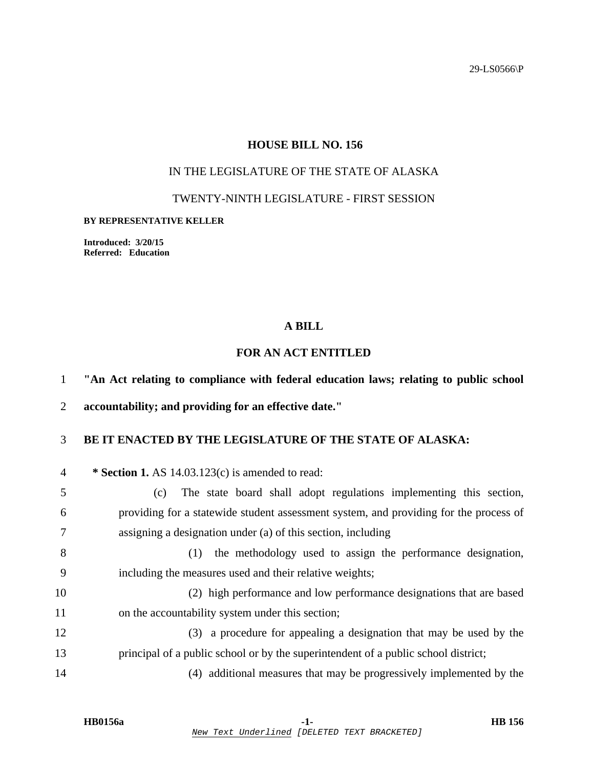29-LS0566\P

#### **HOUSE BILL NO. 156**

## IN THE LEGISLATURE OF THE STATE OF ALASKA

#### TWENTY-NINTH LEGISLATURE - FIRST SESSION

#### **BY REPRESENTATIVE KELLER**

**Introduced: 3/20/15 Referred: Education** 

#### **A BILL**

# **FOR AN ACT ENTITLED**

1 **"An Act relating to compliance with federal education laws; relating to public school** 

2 **accountability; and providing for an effective date."** 

#### 3 **BE IT ENACTED BY THE LEGISLATURE OF THE STATE OF ALASKA:**

4 **\* Section 1.** AS 14.03.123(c) is amended to read:

5 (c) The state board shall adopt regulations implementing this section, 6 providing for a statewide student assessment system, and providing for the process of 7 assigning a designation under (a) of this section, including

8 (1) the methodology used to assign the performance designation, 9 including the measures used and their relative weights;

10 (2) high performance and low performance designations that are based 11 on the accountability system under this section;

12 (3) a procedure for appealing a designation that may be used by the 13 principal of a public school or by the superintendent of a public school district;

14 (4) additional measures that may be progressively implemented by the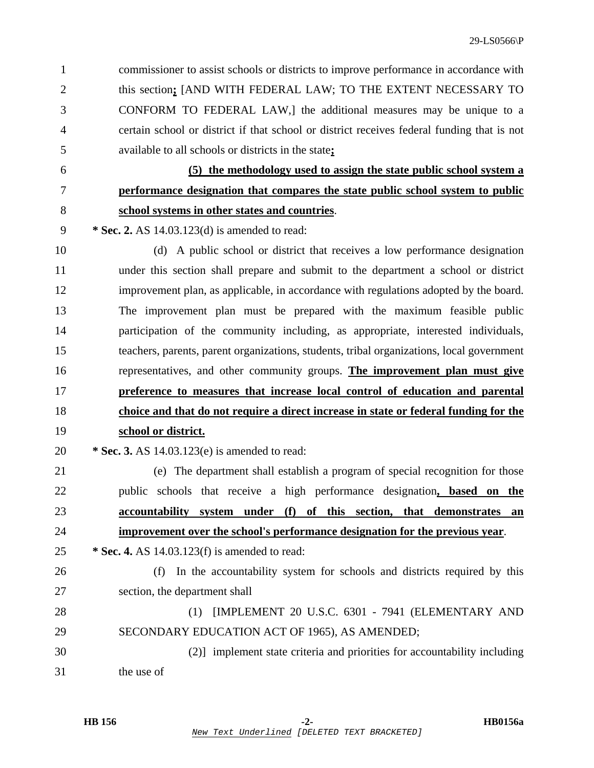1 commissioner to assist schools or districts to improve performance in accordance with 2 this section**;** [AND WITH FEDERAL LAW; TO THE EXTENT NECESSARY TO 3 CONFORM TO FEDERAL LAW,] the additional measures may be unique to a 4 certain school or district if that school or district receives federal funding that is not 5 available to all schools or districts in the state**;**

6 **(5) the methodology used to assign the state public school system a**

### 7 **performance designation that compares the state public school system to public**

# 8 **school systems in other states and countries**.

- 9 **\* Sec. 2.** AS 14.03.123(d) is amended to read:
- 

10 (d) A public school or district that receives a low performance designation 11 under this section shall prepare and submit to the department a school or district 12 improvement plan, as applicable, in accordance with regulations adopted by the board. 13 The improvement plan must be prepared with the maximum feasible public 14 participation of the community including, as appropriate, interested individuals, 15 teachers, parents, parent organizations, students, tribal organizations, local government 16 representatives, and other community groups. **The improvement plan must give** 17 **preference to measures that increase local control of education and parental** 18 **choice and that do not require a direct increase in state or federal funding for the** 19 **school or district.**

20 **\* Sec. 3.** AS 14.03.123(e) is amended to read:

21 (e) The department shall establish a program of special recognition for those 22 public schools that receive a high performance designation**, based on the** 23 **accountability system under (f) of this section, that demonstrates an** 24 **improvement over the school's performance designation for the previous year**.

25 **\* Sec. 4.** AS 14.03.123(f) is amended to read:

26 (f) In the accountability system for schools and districts required by this 27 section, the department shall 28 (1) [IMPLEMENT 20 U.S.C. 6301 - 7941 (ELEMENTARY AND

29 SECONDARY EDUCATION ACT OF 1965), AS AMENDED;

30 (2)] implement state criteria and priorities for accountability including 31 the use of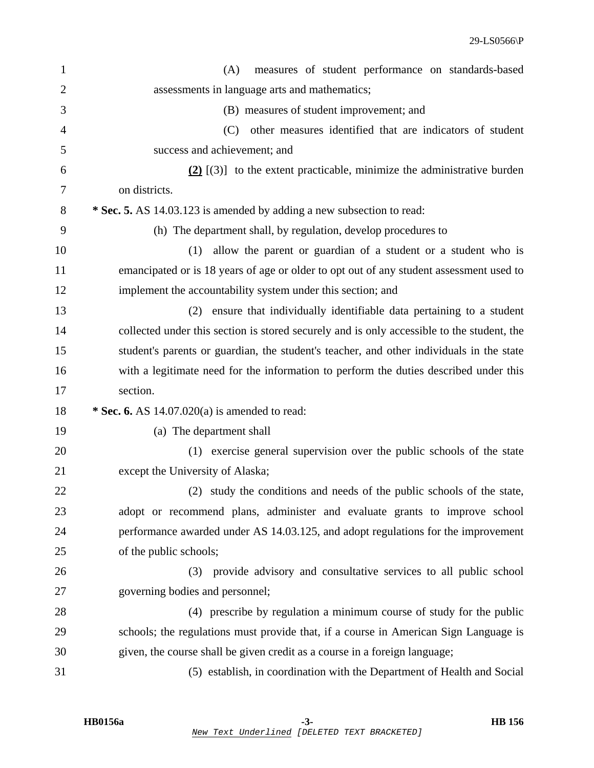| $\mathbf{1}$   | measures of student performance on standards-based<br>(A)                                  |
|----------------|--------------------------------------------------------------------------------------------|
| $\overline{2}$ | assessments in language arts and mathematics;                                              |
| 3              | (B) measures of student improvement; and                                                   |
| $\overline{4}$ | other measures identified that are indicators of student<br>(C)                            |
| 5              | success and achievement; and                                                               |
| 6              | $(2)$ [(3)] to the extent practicable, minimize the administrative burden                  |
| 7              | on districts.                                                                              |
| 8              | * Sec. 5. AS 14.03.123 is amended by adding a new subsection to read:                      |
| 9              | (h) The department shall, by regulation, develop procedures to                             |
| 10             | allow the parent or guardian of a student or a student who is<br>(1)                       |
| 11             | emancipated or is 18 years of age or older to opt out of any student assessment used to    |
| 12             | implement the accountability system under this section; and                                |
| 13             | ensure that individually identifiable data pertaining to a student<br>(2)                  |
| 14             | collected under this section is stored securely and is only accessible to the student, the |
| 15             | student's parents or guardian, the student's teacher, and other individuals in the state   |
| 16             | with a legitimate need for the information to perform the duties described under this      |
| 17             | section.                                                                                   |
| 18             | * Sec. 6. AS $14.07.020(a)$ is amended to read:                                            |
| 19             | (a) The department shall                                                                   |
| 20             | (1) exercise general supervision over the public schools of the state                      |
| 21             | except the University of Alaska;                                                           |
| 22             | (2) study the conditions and needs of the public schools of the state,                     |
| 23             | adopt or recommend plans, administer and evaluate grants to improve school                 |
| 24             | performance awarded under AS 14.03.125, and adopt regulations for the improvement          |
| 25             | of the public schools;                                                                     |
| 26             | (3) provide advisory and consultative services to all public school                        |
| 27             | governing bodies and personnel;                                                            |
| 28             | (4) prescribe by regulation a minimum course of study for the public                       |
| 29             | schools; the regulations must provide that, if a course in American Sign Language is       |
| 30             | given, the course shall be given credit as a course in a foreign language;                 |
| 31             | (5) establish, in coordination with the Department of Health and Social                    |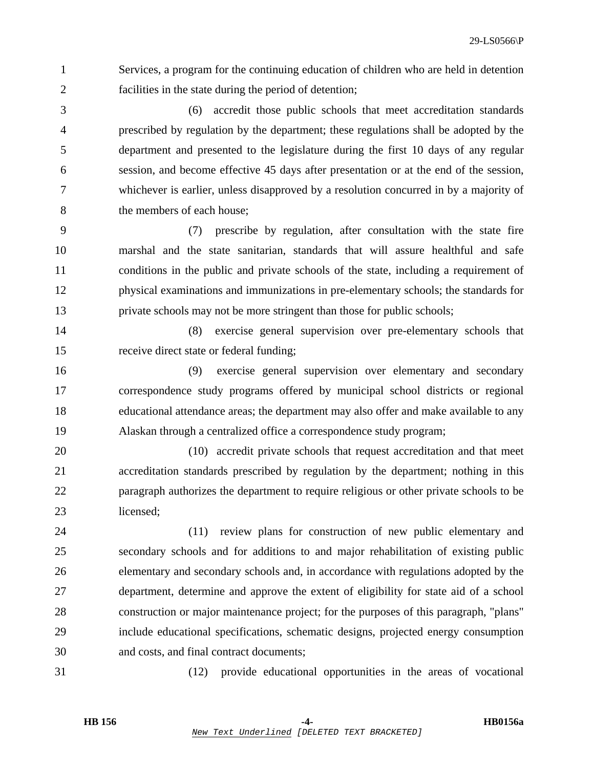1 Services, a program for the continuing education of children who are held in detention 2 facilities in the state during the period of detention;

3 (6) accredit those public schools that meet accreditation standards 4 prescribed by regulation by the department; these regulations shall be adopted by the 5 department and presented to the legislature during the first 10 days of any regular 6 session, and become effective 45 days after presentation or at the end of the session, 7 whichever is earlier, unless disapproved by a resolution concurred in by a majority of 8 the members of each house;

9 (7) prescribe by regulation, after consultation with the state fire 10 marshal and the state sanitarian, standards that will assure healthful and safe 11 conditions in the public and private schools of the state, including a requirement of 12 physical examinations and immunizations in pre-elementary schools; the standards for 13 private schools may not be more stringent than those for public schools;

14 (8) exercise general supervision over pre-elementary schools that 15 receive direct state or federal funding;

16 (9) exercise general supervision over elementary and secondary 17 correspondence study programs offered by municipal school districts or regional 18 educational attendance areas; the department may also offer and make available to any 19 Alaskan through a centralized office a correspondence study program;

20 (10) accredit private schools that request accreditation and that meet 21 accreditation standards prescribed by regulation by the department; nothing in this 22 paragraph authorizes the department to require religious or other private schools to be 23 licensed;

24 (11) review plans for construction of new public elementary and 25 secondary schools and for additions to and major rehabilitation of existing public 26 elementary and secondary schools and, in accordance with regulations adopted by the 27 department, determine and approve the extent of eligibility for state aid of a school 28 construction or major maintenance project; for the purposes of this paragraph, "plans" 29 include educational specifications, schematic designs, projected energy consumption 30 and costs, and final contract documents;

31 (12) provide educational opportunities in the areas of vocational